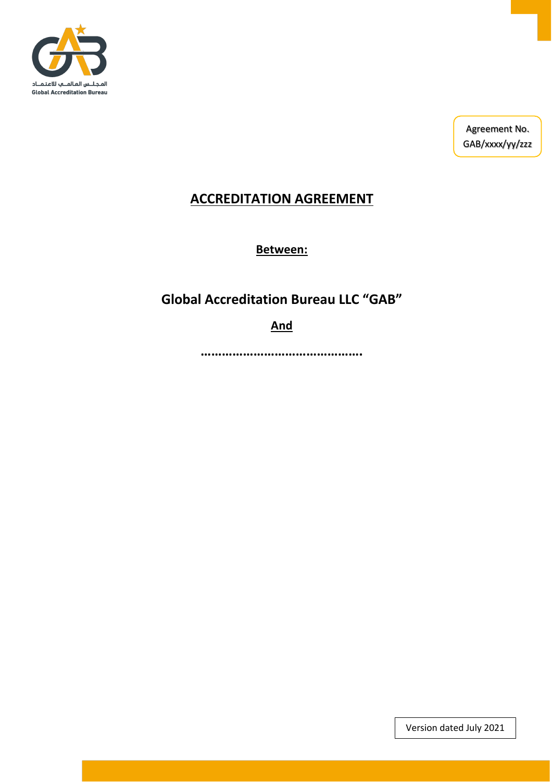

Agreement No. GAB/xxxx/yy/zzz

### **ACCREDITATION AGREEMENT**

**Between:**

## **Global Accreditation Bureau LLC "GAB"**

**And**

**……………………………………….**

Version dated July 2021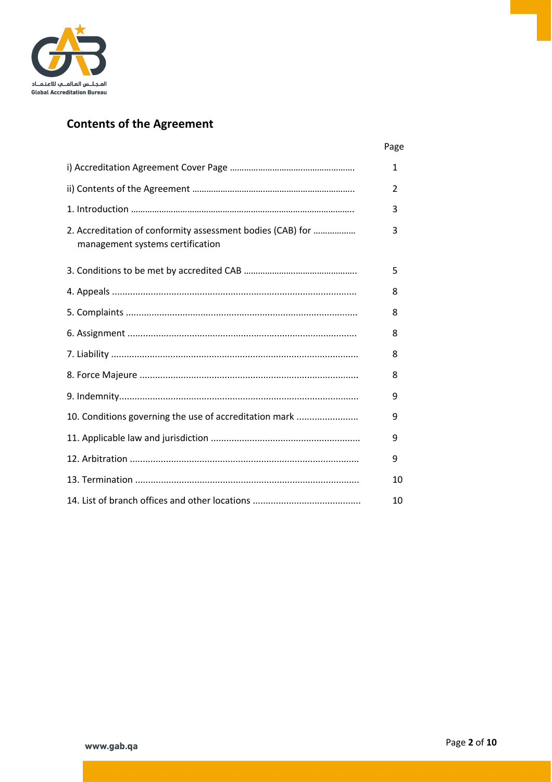

# **Contents of the Agreement**

|                                                                                                | 1  |
|------------------------------------------------------------------------------------------------|----|
|                                                                                                | 2  |
|                                                                                                | 3  |
| 2. Accreditation of conformity assessment bodies (CAB) for<br>management systems certification | 3  |
|                                                                                                | 5  |
|                                                                                                | 8  |
|                                                                                                | 8  |
|                                                                                                | 8  |
|                                                                                                | 8  |
|                                                                                                | 8  |
|                                                                                                | 9  |
| 10. Conditions governing the use of accreditation mark                                         | 9  |
|                                                                                                | 9  |
|                                                                                                | 9  |
|                                                                                                | 10 |
|                                                                                                | 10 |

Page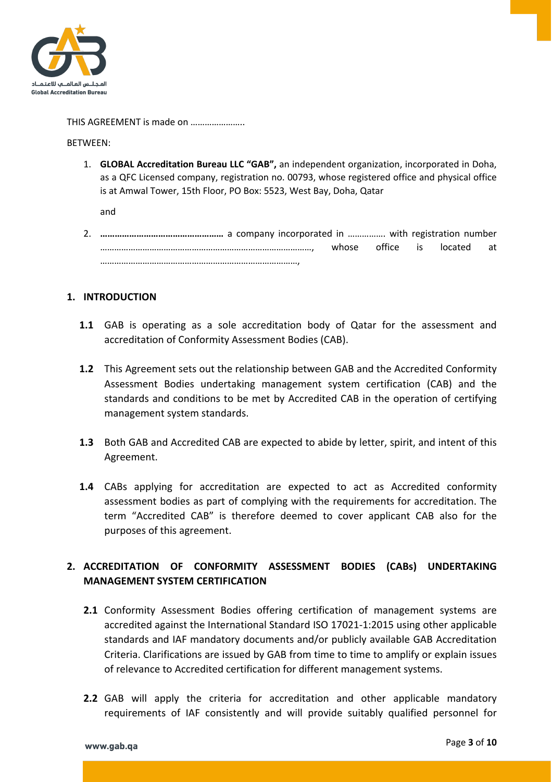

#### THIS AGREEMENT is made on …………………..

BETWEEN:

1. **GLOBAL Accreditation Bureau LLC "GAB",** an independent organization, incorporated in Doha, as a QFC Licensed company, registration no. 00793, whose registered office and physical office is at Amwal Tower, 15th Floor, PO Box: 5523, West Bay, Doha, Qatar

and

2. **……………………………………………** a company incorporated in ……………. with registration number ………………………………………………………………………………, whose office is located at …………………………………………………………………………,

#### **1. INTRODUCTION**

- **1.1** GAB is operating as a sole accreditation body of Qatar for the assessment and accreditation of Conformity Assessment Bodies (CAB).
- **1.2** This Agreement sets out the relationship between GAB and the Accredited Conformity Assessment Bodies undertaking management system certification (CAB) and the standards and conditions to be met by Accredited CAB in the operation of certifying management system standards.
- **1.3** Both GAB and Accredited CAB are expected to abide by letter, spirit, and intent of this Agreement.
- **1.4** CABs applying for accreditation are expected to act as Accredited conformity assessment bodies as part of complying with the requirements for accreditation. The term "Accredited CAB" is therefore deemed to cover applicant CAB also for the purposes of this agreement.

### **2. ACCREDITATION OF CONFORMITY ASSESSMENT BODIES (CABs) UNDERTAKING MANAGEMENT SYSTEM CERTIFICATION**

- **2.1** Conformity Assessment Bodies offering certification of management systems are accredited against the International Standard ISO 17021-1:2015 using other applicable standards and IAF mandatory documents and/or publicly available GAB Accreditation Criteria. Clarifications are issued by GAB from time to time to amplify or explain issues of relevance to Accredited certification for different management systems.
- **2.2** GAB will apply the criteria for accreditation and other applicable mandatory requirements of IAF consistently and will provide suitably qualified personnel for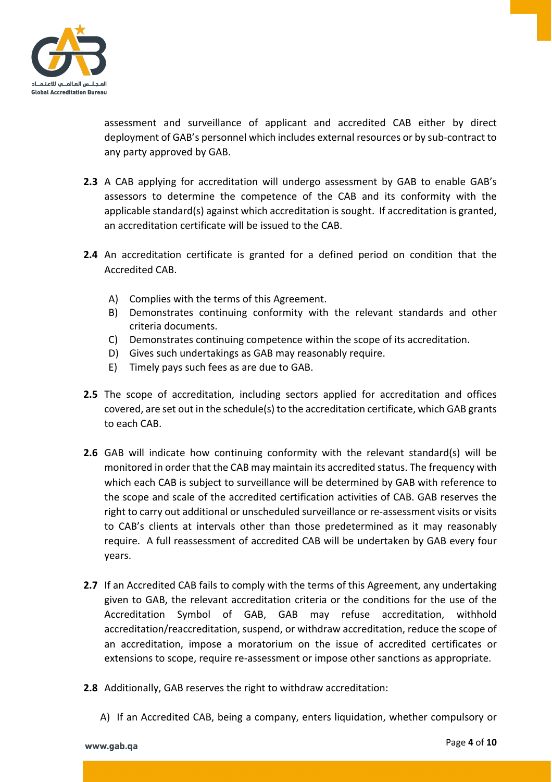

assessment and surveillance of applicant and accredited CAB either by direct deployment of GAB's personnel which includes external resources or by sub-contract to any party approved by GAB.

- **2.3** A CAB applying for accreditation will undergo assessment by GAB to enable GAB's assessors to determine the competence of the CAB and its conformity with the applicable standard(s) against which accreditation is sought. If accreditation is granted, an accreditation certificate will be issued to the CAB.
- **2.4** An accreditation certificate is granted for a defined period on condition that the Accredited CAB.
	- A) Complies with the terms of this Agreement.
	- B) Demonstrates continuing conformity with the relevant standards and other criteria documents.
	- C) Demonstrates continuing competence within the scope of its accreditation.
	- D) Gives such undertakings as GAB may reasonably require.
	- E) Timely pays such fees as are due to GAB.
- 2.5 The scope of accreditation, including sectors applied for accreditation and offices covered, are set out in the schedule(s) to the accreditation certificate, which GAB grants to each CAB.
- **2.6** GAB will indicate how continuing conformity with the relevant standard(s) will be monitored in order that the CAB may maintain its accredited status. The frequency with which each CAB is subject to surveillance will be determined by GAB with reference to the scope and scale of the accredited certification activities of CAB. GAB reserves the right to carry out additional or unscheduled surveillance or re-assessment visits or visits to CAB's clients at intervals other than those predetermined as it may reasonably require. A full reassessment of accredited CAB will be undertaken by GAB every four years.
- **2.7** If an Accredited CAB fails to comply with the terms of this Agreement, any undertaking given to GAB, the relevant accreditation criteria or the conditions for the use of the Accreditation Symbol of GAB, GAB may refuse accreditation, withhold accreditation/reaccreditation, suspend, or withdraw accreditation, reduce the scope of an accreditation, impose a moratorium on the issue of accredited certificates or extensions to scope, require re-assessment or impose other sanctions as appropriate.
- **2.8** Additionally, GAB reserves the right to withdraw accreditation:
	- A) If an Accredited CAB, being a company, enters liquidation, whether compulsory or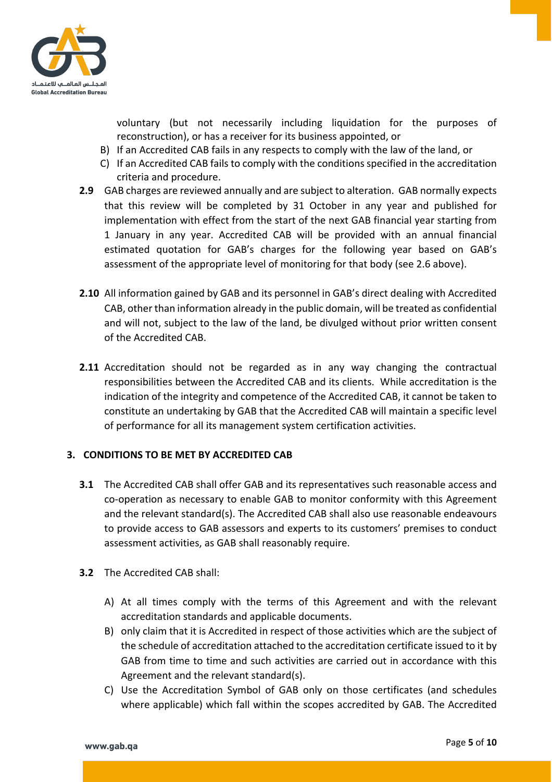

voluntary (but not necessarily including liquidation for the purposes of reconstruction), or has a receiver for its business appointed, or

- B) If an Accredited CAB fails in any respects to comply with the law of the land, or
- C) If an Accredited CAB fails to comply with the conditions specified in the accreditation criteria and procedure.
- **2.9** GAB charges are reviewed annually and are subject to alteration. GAB normally expects that this review will be completed by 31 October in any year and published for implementation with effect from the start of the next GAB financial year starting from 1 January in any year. Accredited CAB will be provided with an annual financial estimated quotation for GAB's charges for the following year based on GAB's assessment of the appropriate level of monitoring for that body (see 2.6 above).
- **2.10** All information gained by GAB and its personnel in GAB's direct dealing with Accredited CAB, other than information already in the public domain, will be treated as confidential and will not, subject to the law of the land, be divulged without prior written consent of the Accredited CAB.
- **2.11** Accreditation should not be regarded as in any way changing the contractual responsibilities between the Accredited CAB and its clients. While accreditation is the indication of the integrity and competence of the Accredited CAB, it cannot be taken to constitute an undertaking by GAB that the Accredited CAB will maintain a specific level of performance for all its management system certification activities.

#### **3. CONDITIONS TO BE MET BY ACCREDITED CAB**

- **3.1** The Accredited CAB shall offer GAB and its representatives such reasonable access and co-operation as necessary to enable GAB to monitor conformity with this Agreement and the relevant standard(s). The Accredited CAB shall also use reasonable endeavours to provide access to GAB assessors and experts to its customers' premises to conduct assessment activities, as GAB shall reasonably require.
- **3.2** The Accredited CAB shall:
	- A) At all times comply with the terms of this Agreement and with the relevant accreditation standards and applicable documents.
	- B) only claim that it is Accredited in respect of those activities which are the subject of the schedule of accreditation attached to the accreditation certificate issued to it by GAB from time to time and such activities are carried out in accordance with this Agreement and the relevant standard(s).
	- C) Use the Accreditation Symbol of GAB only on those certificates (and schedules where applicable) which fall within the scopes accredited by GAB. The Accredited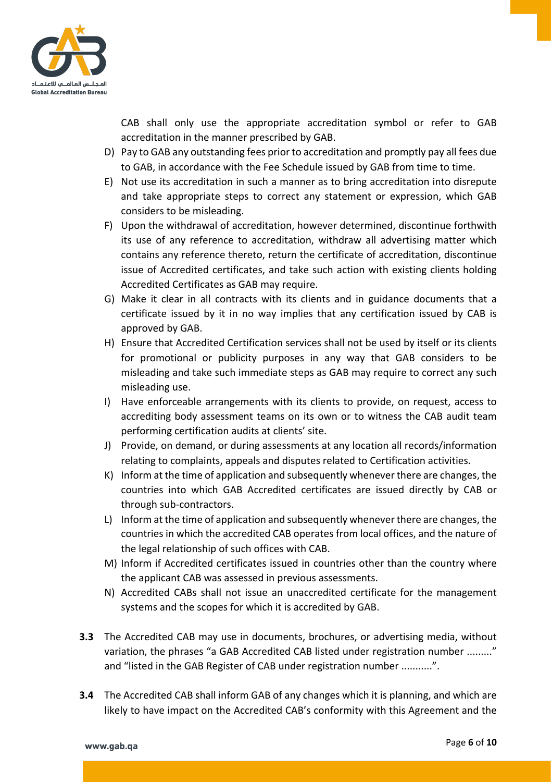

CAB shall only use the appropriate accreditation symbol or refer to GAB accreditation in the manner prescribed by GAB.

- D) Pay to GAB any outstanding fees prior to accreditation and promptly pay all fees due to GAB, in accordance with the Fee Schedule issued by GAB from time to time.
- E) Not use its accreditation in such a manner as to bring accreditation into disrepute and take appropriate steps to correct any statement or expression, which GAB considers to be misleading.
- F) Upon the withdrawal of accreditation, however determined, discontinue forthwith its use of any reference to accreditation, withdraw all advertising matter which contains any reference thereto, return the certificate of accreditation, discontinue issue of Accredited certificates, and take such action with existing clients holding Accredited Certificates as GAB may require.
- G) Make it clear in all contracts with its clients and in guidance documents that a certificate issued by it in no way implies that any certification issued by CAB is approved by GAB.
- H) Ensure that Accredited Certification services shall not be used by itself or its clients for promotional or publicity purposes in any way that GAB considers to be misleading and take such immediate steps as GAB may require to correct any such misleading use.
- I) Have enforceable arrangements with its clients to provide, on request, access to accrediting body assessment teams on its own or to witness the CAB audit team performing certification audits at clients' site.
- J) Provide, on demand, or during assessments at any location all records/information relating to complaints, appeals and disputes related to Certification activities.
- K) Inform at the time of application and subsequently whenever there are changes, the countries into which GAB Accredited certificates are issued directly by CAB or through sub-contractors.
- L) Inform at the time of application and subsequently whenever there are changes, the countries in which the accredited CAB operates from local offices, and the nature of the legal relationship of such offices with CAB.
- M) Inform if Accredited certificates issued in countries other than the country where the applicant CAB was assessed in previous assessments.
- N) Accredited CABs shall not issue an unaccredited certificate for the management systems and the scopes for which it is accredited by GAB.
- **3.3** The Accredited CAB may use in documents, brochures, or advertising media, without variation, the phrases "a GAB Accredited CAB listed under registration number ........." and "listed in the GAB Register of CAB under registration number ...........".
- **3.4** The Accredited CAB shall inform GAB of any changes which it is planning, and which are likely to have impact on the Accredited CAB's conformity with this Agreement and the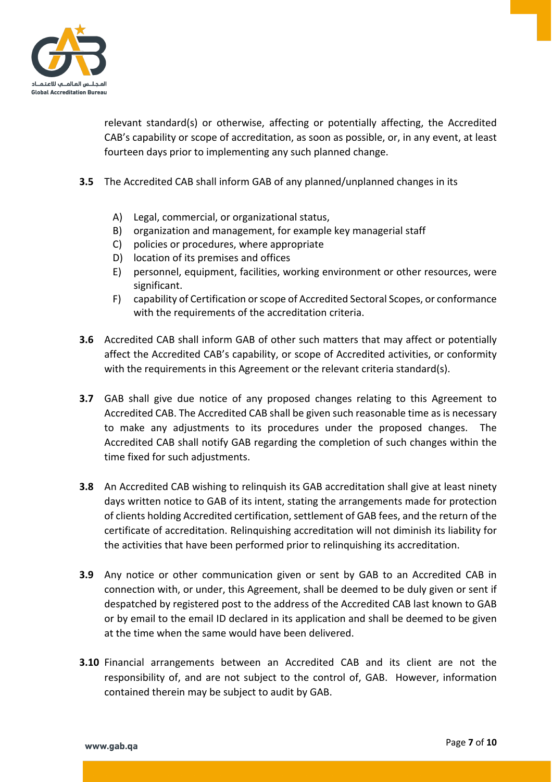

relevant standard(s) or otherwise, affecting or potentially affecting, the Accredited CAB's capability or scope of accreditation, as soon as possible, or, in any event, at least fourteen days prior to implementing any such planned change.

- **3.5** The Accredited CAB shall inform GAB of any planned/unplanned changes in its
	- A) Legal, commercial, or organizational status,
	- B) organization and management, for example key managerial staff
	- C) policies or procedures, where appropriate
	- D) location of its premises and offices
	- E) personnel, equipment, facilities, working environment or other resources, were significant.
	- F) capability of Certification or scope of Accredited Sectoral Scopes, or conformance with the requirements of the accreditation criteria.
- **3.6** Accredited CAB shall inform GAB of other such matters that may affect or potentially affect the Accredited CAB's capability, or scope of Accredited activities, or conformity with the requirements in this Agreement or the relevant criteria standard(s).
- **3.7** GAB shall give due notice of any proposed changes relating to this Agreement to Accredited CAB. The Accredited CAB shall be given such reasonable time as is necessary to make any adjustments to its procedures under the proposed changes. The Accredited CAB shall notify GAB regarding the completion of such changes within the time fixed for such adjustments.
- **3.8** An Accredited CAB wishing to relinquish its GAB accreditation shall give at least ninety days written notice to GAB of its intent, stating the arrangements made for protection of clients holding Accredited certification, settlement of GAB fees, and the return of the certificate of accreditation. Relinquishing accreditation will not diminish its liability for the activities that have been performed prior to relinquishing its accreditation.
- **3.9** Any notice or other communication given or sent by GAB to an Accredited CAB in connection with, or under, this Agreement, shall be deemed to be duly given or sent if despatched by registered post to the address of the Accredited CAB last known to GAB or by email to the email ID declared in its application and shall be deemed to be given at the time when the same would have been delivered.
- **3.10** Financial arrangements between an Accredited CAB and its client are not the responsibility of, and are not subject to the control of, GAB. However, information contained therein may be subject to audit by GAB.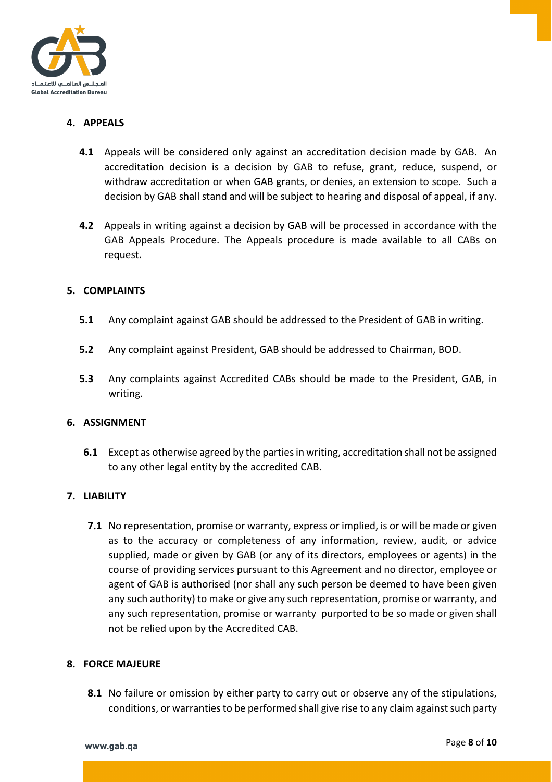

### **4. APPEALS**

- **4.1** Appeals will be considered only against an accreditation decision made by GAB. An accreditation decision is a decision by GAB to refuse, grant, reduce, suspend, or withdraw accreditation or when GAB grants, or denies, an extension to scope. Such a decision by GAB shall stand and will be subject to hearing and disposal of appeal, if any.
- **4.2** Appeals in writing against a decision by GAB will be processed in accordance with the GAB Appeals Procedure. The Appeals procedure is made available to all CABs on request.

#### **5. COMPLAINTS**

- **5.1** Any complaint against GAB should be addressed to the President of GAB in writing.
- **5.2** Any complaint against President, GAB should be addressed to Chairman, BOD.
- **5.3** Any complaints against Accredited CABs should be made to the President, GAB, in writing.

#### **6. ASSIGNMENT**

**6.1** Except as otherwise agreed by the parties in writing, accreditation shall not be assigned to any other legal entity by the accredited CAB.

#### **7. LIABILITY**

**7.1** No representation, promise or warranty, express or implied, is or will be made or given as to the accuracy or completeness of any information, review, audit, or advice supplied, made or given by GAB (or any of its directors, employees or agents) in the course of providing services pursuant to this Agreement and no director, employee or agent of GAB is authorised (nor shall any such person be deemed to have been given any such authority) to make or give any such representation, promise or warranty, and any such representation, promise or warranty purported to be so made or given shall not be relied upon by the Accredited CAB.

#### **8. FORCE MAJEURE**

**8.1** No failure or omission by either party to carry out or observe any of the stipulations, conditions, or warranties to be performed shall give rise to any claim against such party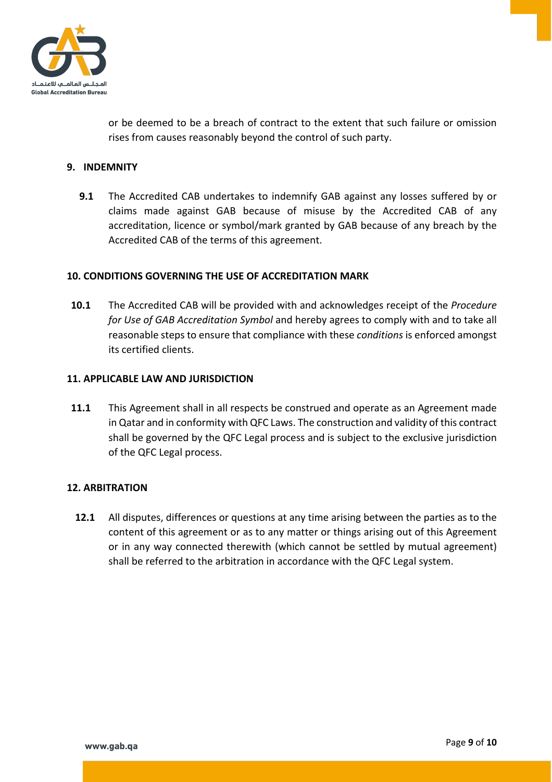

or be deemed to be a breach of contract to the extent that such failure or omission rises from causes reasonably beyond the control of such party.

#### **9. INDEMNITY**

**9.1** The Accredited CAB undertakes to indemnify GAB against any losses suffered by or claims made against GAB because of misuse by the Accredited CAB of any accreditation, licence or symbol/mark granted by GAB because of any breach by the Accredited CAB of the terms of this agreement.

#### **10. CONDITIONS GOVERNING THE USE OF ACCREDITATION MARK**

**10.1** The Accredited CAB will be provided with and acknowledges receipt of the *Procedure for Use of GAB Accreditation Symbol* and hereby agrees to comply with and to take all reasonable steps to ensure that compliance with these *conditions* is enforced amongst its certified clients.

#### **11. APPLICABLE LAW AND JURISDICTION**

**11.1** This Agreement shall in all respects be construed and operate as an Agreement made in Qatar and in conformity with QFC Laws. The construction and validity of this contract shall be governed by the QFC Legal process and is subject to the exclusive jurisdiction of the QFC Legal process.

#### **12. ARBITRATION**

**12.1** All disputes, differences or questions at any time arising between the parties as to the content of this agreement or as to any matter or things arising out of this Agreement or in any way connected therewith (which cannot be settled by mutual agreement) shall be referred to the arbitration in accordance with the QFC Legal system.